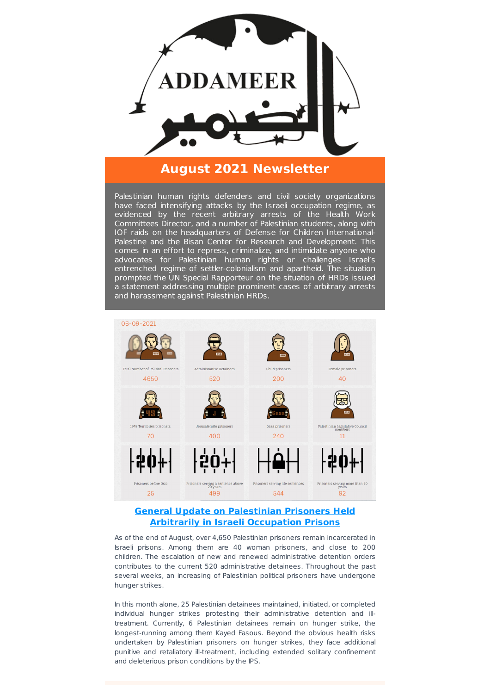

# **August 2021 Newsletter**

Palestinian human rights defenders and civil society organizations have faced intensifying attacks by the Israeli occupation regime, as evidenced by the recent arbitrary arrests of the Health Work Committees Director, and a number of Palestinian students, along with IOF raids on the headquarters of Defense for Children International-Palestine and the Bisan Center for Research and Development. This comes in an effort to repress, criminalize, and intimidate anyone who advocates for Palestinian human rights or challenges Israel's entrenched regime of settler-colonialism and apartheid. The situation prompted the UN Special Rapporteur on the situation of HRDs issued a statement addressing multiple prominent cases of arbitrary arrests and harassment against Palestinian HRDs.



### **General Update on Palestinian Prisoners Held Arbitrarily in Israeli [Occupation](https://www.addameer.org/statistics) Prisons**

As of the end of August, over 4,650 Palestinian prisoners remain incarcerated in Israeli prisons. Among them are 40 woman prisoners, and close to 200 children. The escalation of new and renewed administrative detention orders contributes to the current 520 administrative detainees. Throughout the past several weeks, an increasing of Palestinian political prisoners have undergone hunger strikes.

In this month alone, 25 Palestinian detainees maintained, initiated, or completed individual hunger strikes protesting their administrative detention and illtreatment. Currently, 6 Palestinian detainees remain on hunger strike, the longest-running among them Kayed Fasous. Beyond the obvious health risks undertaken by Palestinian prisoners on hunger strikes, they face additional punitive and retaliatory ill-treatment, including extended solitary confinement and deleterious prison conditions by the IPS.